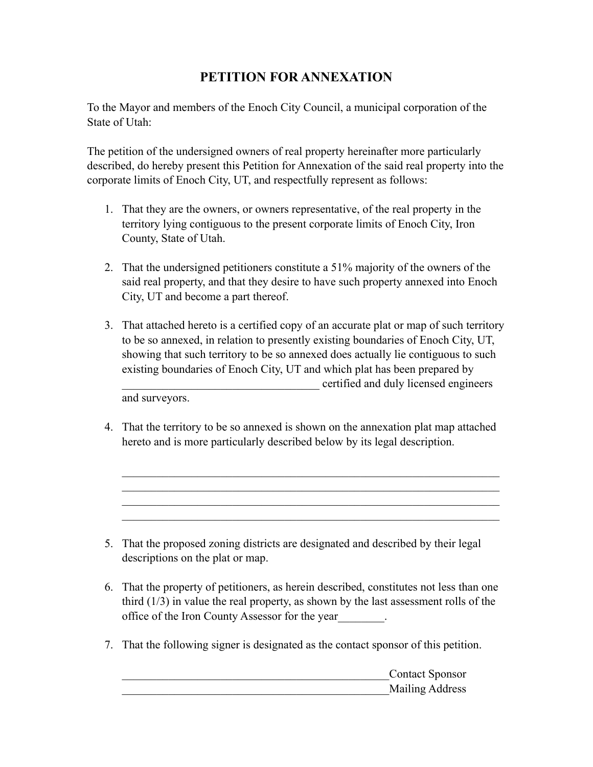## PETITION FOR ANNEXATION

To the Mayor and members of the Enoch City Council, a municipal corporation of the State of Utah:

The petition of the undersigned owners of real property hereinafter more particularly described, do hereby present this Petition for Annexation of the said real property into the corporate limits of Enoch City, UT, and respectfully represent as follows:

- 1. That they are the owners, or owners representative, of the real property in the territory lying contiguous to the present corporate limits of Enoch City, Iron County, State of Utah.
- 2. That the undersigned petitioners constitute a 51% majority of the owners of the said real property, and that they desire to have such property annexed into Enoch City, UT and become a part thereof.
- 3. That attached hereto is a certified copy of an accurate plat or map of such territory to be so annexed, in relation to presently existing boundaries of Enoch City, UT, showing that such territory to be so annexed does actually lie contiguous to such existing boundaries of Enoch City, UT and which plat has been prepared by \_\_\_\_\_\_\_\_\_\_\_\_\_\_\_\_\_\_\_\_\_\_\_\_\_\_\_\_\_\_\_\_\_\_ certified and duly licensed engineers and surveyors.
- 4. That the territory to be so annexed is shown on the annexation plat map attached hereto and is more particularly described below by its legal description.

 $\mathcal{L}_\text{max} = \mathcal{L}_\text{max} = \mathcal{L}_\text{max} = \mathcal{L}_\text{max} = \mathcal{L}_\text{max} = \mathcal{L}_\text{max} = \mathcal{L}_\text{max} = \mathcal{L}_\text{max} = \mathcal{L}_\text{max} = \mathcal{L}_\text{max} = \mathcal{L}_\text{max} = \mathcal{L}_\text{max} = \mathcal{L}_\text{max} = \mathcal{L}_\text{max} = \mathcal{L}_\text{max} = \mathcal{L}_\text{max} = \mathcal{L}_\text{max} = \mathcal{L}_\text{max} = \mathcal{$  $\mathcal{L}_\text{max} = \mathcal{L}_\text{max} = \mathcal{L}_\text{max} = \mathcal{L}_\text{max} = \mathcal{L}_\text{max} = \mathcal{L}_\text{max} = \mathcal{L}_\text{max} = \mathcal{L}_\text{max} = \mathcal{L}_\text{max} = \mathcal{L}_\text{max} = \mathcal{L}_\text{max} = \mathcal{L}_\text{max} = \mathcal{L}_\text{max} = \mathcal{L}_\text{max} = \mathcal{L}_\text{max} = \mathcal{L}_\text{max} = \mathcal{L}_\text{max} = \mathcal{L}_\text{max} = \mathcal{$  $\mathcal{L}_\text{max} = \mathcal{L}_\text{max} = \mathcal{L}_\text{max} = \mathcal{L}_\text{max} = \mathcal{L}_\text{max} = \mathcal{L}_\text{max} = \mathcal{L}_\text{max} = \mathcal{L}_\text{max} = \mathcal{L}_\text{max} = \mathcal{L}_\text{max} = \mathcal{L}_\text{max} = \mathcal{L}_\text{max} = \mathcal{L}_\text{max} = \mathcal{L}_\text{max} = \mathcal{L}_\text{max} = \mathcal{L}_\text{max} = \mathcal{L}_\text{max} = \mathcal{L}_\text{max} = \mathcal{$  $\mathcal{L}_\text{max} = \mathcal{L}_\text{max} = \mathcal{L}_\text{max} = \mathcal{L}_\text{max} = \mathcal{L}_\text{max} = \mathcal{L}_\text{max} = \mathcal{L}_\text{max} = \mathcal{L}_\text{max} = \mathcal{L}_\text{max} = \mathcal{L}_\text{max} = \mathcal{L}_\text{max} = \mathcal{L}_\text{max} = \mathcal{L}_\text{max} = \mathcal{L}_\text{max} = \mathcal{L}_\text{max} = \mathcal{L}_\text{max} = \mathcal{L}_\text{max} = \mathcal{L}_\text{max} = \mathcal{$ 

- 5. That the proposed zoning districts are designated and described by their legal descriptions on the plat or map.
- 6. That the property of petitioners, as herein described, constitutes not less than one third (1/3) in value the real property, as shown by the last assessment rolls of the office of the Iron County Assessor for the year\_\_\_\_\_\_\_\_.
- 7. That the following signer is designated as the contact sponsor of this petition.

\_\_\_\_\_\_\_\_\_\_\_\_\_\_\_\_\_\_\_\_\_\_\_\_\_\_\_\_\_\_\_\_\_\_\_\_\_\_\_\_\_\_\_\_\_\_Contact Sponsor \_\_\_\_\_\_\_\_\_\_\_\_\_\_\_\_\_\_\_\_\_\_\_\_\_\_\_\_\_\_\_\_\_\_\_\_\_\_\_\_\_\_\_\_\_\_Mailing Address